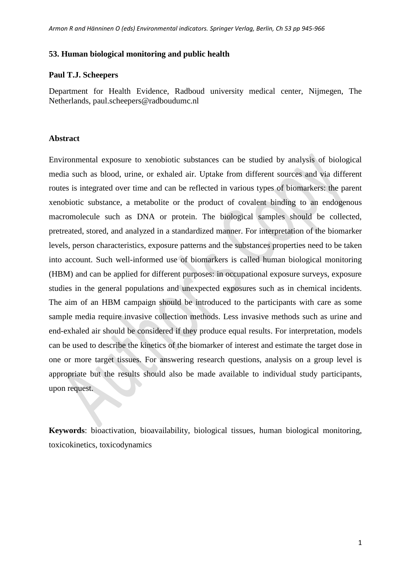#### **53. Human biological monitoring and public health**

## **Paul T.J. Scheepers**

Department for Health Evidence, Radboud university medical center, Nijmegen, The Netherlands, paul.scheepers@radboudumc.nl

# **Abstract**

Environmental exposure to xenobiotic substances can be studied by analysis of biological media such as blood, urine, or exhaled air. Uptake from different sources and via different routes is integrated over time and can be reflected in various types of biomarkers: the parent xenobiotic substance, a metabolite or the product of covalent binding to an endogenous macromolecule such as DNA or protein. The biological samples should be collected, pretreated, stored, and analyzed in a standardized manner. For interpretation of the biomarker levels, person characteristics, exposure patterns and the substances properties need to be taken into account. Such well-informed use of biomarkers is called human biological monitoring (HBM) and can be applied for different purposes: in occupational exposure surveys, exposure studies in the general populations and unexpected exposures such as in chemical incidents. The aim of an HBM campaign should be introduced to the participants with care as some sample media require invasive collection methods. Less invasive methods such as urine and end-exhaled air should be considered if they produce equal results. For interpretation, models can be used to describe the kinetics of the biomarker of interest and estimate the target dose in one or more target tissues. For answering research questions, analysis on a group level is appropriate but the results should also be made available to individual study participants, upon request.

**Keywords**: bioactivation, bioavailability, biological tissues, human biological monitoring, toxicokinetics, toxicodynamics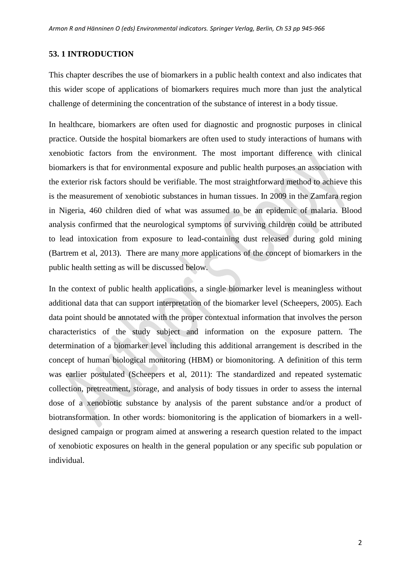# **53. 1 INTRODUCTION**

This chapter describes the use of biomarkers in a public health context and also indicates that this wider scope of applications of biomarkers requires much more than just the analytical challenge of determining the concentration of the substance of interest in a body tissue.

In healthcare, biomarkers are often used for diagnostic and prognostic purposes in clinical practice. Outside the hospital biomarkers are often used to study interactions of humans with xenobiotic factors from the environment. The most important difference with clinical biomarkers is that for environmental exposure and public health purposes an association with the exterior risk factors should be verifiable. The most straightforward method to achieve this is the measurement of xenobiotic substances in human tissues. In 2009 in the Zamfara region in Nigeria, 460 children died of what was assumed to be an epidemic of malaria. Blood analysis confirmed that the neurological symptoms of surviving children could be attributed to lead intoxication from exposure to lead-containing dust released during gold mining (Bartrem et al, 2013). There are many more applications of the concept of biomarkers in the public health setting as will be discussed below.

In the context of public health applications, a single biomarker level is meaningless without additional data that can support interpretation of the biomarker level (Scheepers, 2005). Each data point should be annotated with the proper contextual information that involves the person characteristics of the study subject and information on the exposure pattern. The determination of a biomarker level including this additional arrangement is described in the concept of human biological monitoring (HBM) or biomonitoring. A definition of this term was earlier postulated (Scheepers et al, 2011): The standardized and repeated systematic collection, pretreatment, storage, and analysis of body tissues in order to assess the internal dose of a xenobiotic substance by analysis of the parent substance and/or a product of biotransformation. In other words: biomonitoring is the application of biomarkers in a welldesigned campaign or program aimed at answering a research question related to the impact of xenobiotic exposures on health in the general population or any specific sub population or individual.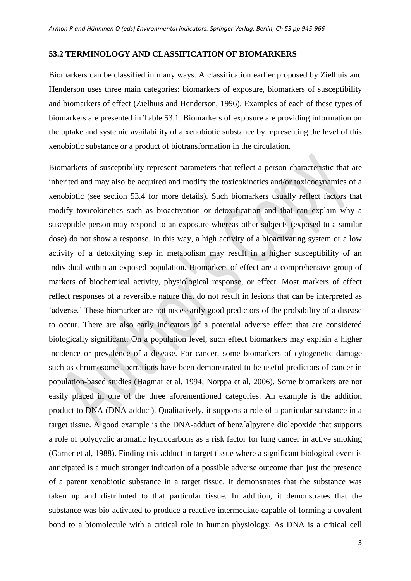# **53.2 TERMINOLOGY AND CLASSIFICATION OF BIOMARKERS**

Biomarkers can be classified in many ways. A classification earlier proposed by Zielhuis and Henderson uses three main categories: biomarkers of exposure, biomarkers of susceptibility and biomarkers of effect (Zielhuis and Henderson, 1996). Examples of each of these types of biomarkers are presented in Table 53.1. Biomarkers of exposure are providing information on the uptake and systemic availability of a xenobiotic substance by representing the level of this xenobiotic substance or a product of biotransformation in the circulation.

Biomarkers of susceptibility represent parameters that reflect a person characteristic that are inherited and may also be acquired and modify the toxicokinetics and/or toxicodynamics of a xenobiotic (see section 53.4 for more details). Such biomarkers usually reflect factors that modify toxicokinetics such as bioactivation or detoxification and that can explain why a susceptible person may respond to an exposure whereas other subjects (exposed to a similar dose) do not show a response. In this way, a high activity of a bioactivating system or a low activity of a detoxifying step in metabolism may result in a higher susceptibility of an individual within an exposed population. Biomarkers of effect are a comprehensive group of markers of biochemical activity, physiological response, or effect. Most markers of effect reflect responses of a reversible nature that do not result in lesions that can be interpreted as 'adverse.' These biomarker are not necessarily good predictors of the probability of a disease to occur. There are also early indicators of a potential adverse effect that are considered biologically significant. On a population level, such effect biomarkers may explain a higher incidence or prevalence of a disease. For cancer, some biomarkers of cytogenetic damage such as chromosome aberrations have been demonstrated to be useful predictors of cancer in population-based studies (Hagmar et al, 1994; Norppa et al, 2006). Some biomarkers are not easily placed in one of the three aforementioned categories. An example is the addition product to DNA (DNA-adduct). Qualitatively, it supports a role of a particular substance in a target tissue. A good example is the DNA-adduct of benz[a]pyrene diolepoxide that supports a role of polycyclic aromatic hydrocarbons as a risk factor for lung cancer in active smoking (Garner et al, 1988). Finding this adduct in target tissue where a significant biological event is anticipated is a much stronger indication of a possible adverse outcome than just the presence of a parent xenobiotic substance in a target tissue. It demonstrates that the substance was taken up and distributed to that particular tissue. In addition, it demonstrates that the substance was bio-activated to produce a reactive intermediate capable of forming a covalent bond to a biomolecule with a critical role in human physiology. As DNA is a critical cell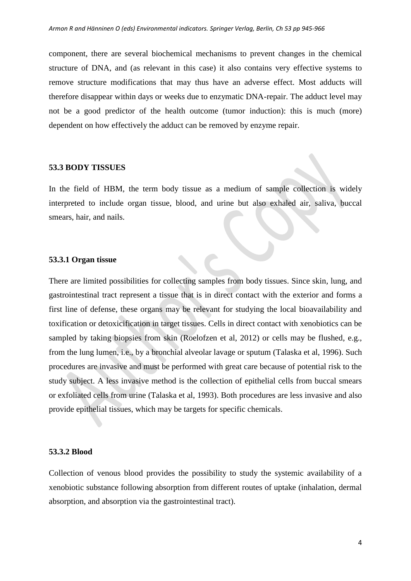component, there are several biochemical mechanisms to prevent changes in the chemical structure of DNA, and (as relevant in this case) it also contains very effective systems to remove structure modifications that may thus have an adverse effect. Most adducts will therefore disappear within days or weeks due to enzymatic DNA-repair. The adduct level may not be a good predictor of the health outcome (tumor induction): this is much (more) dependent on how effectively the adduct can be removed by enzyme repair.

#### **53.3 BODY TISSUES**

In the field of HBM, the term body tissue as a medium of sample collection is widely interpreted to include organ tissue, blood, and urine but also exhaled air, saliva, buccal smears, hair, and nails.

#### **53.3.1 Organ tissue**

There are limited possibilities for collecting samples from body tissues. Since skin, lung, and gastrointestinal tract represent a tissue that is in direct contact with the exterior and forms a first line of defense, these organs may be relevant for studying the local bioavailability and toxification or detoxicification in target tissues. Cells in direct contact with xenobiotics can be sampled by taking biopsies from skin (Roelofzen et al, 2012) or cells may be flushed, e.g., from the lung lumen, i.e., by a bronchial alveolar lavage or sputum (Talaska et al, 1996). Such procedures are invasive and must be performed with great care because of potential risk to the study subject. A less invasive method is the collection of epithelial cells from buccal smears or exfoliated cells from urine (Talaska et al, 1993). Both procedures are less invasive and also provide epithelial tissues, which may be targets for specific chemicals.

# **53.3.2 Blood**

Collection of venous blood provides the possibility to study the systemic availability of a xenobiotic substance following absorption from different routes of uptake (inhalation, dermal absorption, and absorption via the gastrointestinal tract).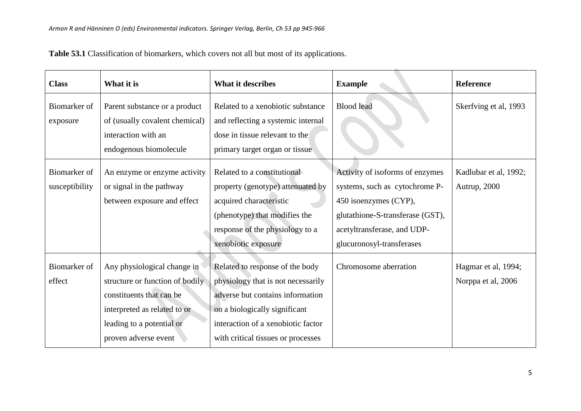| <b>Class</b>   | What it is                      | <b>What it describes</b>           | <b>Example</b>                   | <b>Reference</b>      |
|----------------|---------------------------------|------------------------------------|----------------------------------|-----------------------|
| Biomarker of   | Parent substance or a product   | Related to a xenobiotic substance  | <b>Blood lead</b>                | Skerfving et al, 1993 |
| exposure       | of (usually covalent chemical)  | and reflecting a systemic internal |                                  |                       |
|                | interaction with an             | dose in tissue relevant to the     |                                  |                       |
|                | endogenous biomolecule          | primary target organ or tissue     |                                  |                       |
| Biomarker of   | An enzyme or enzyme activity    | Related to a constitutional        | Activity of isoforms of enzymes  | Kadlubar et al, 1992; |
| susceptibility | or signal in the pathway        | property (genotype) attenuated by  | systems, such as cytochrome P-   | Autrup, 2000          |
|                | between exposure and effect     | acquired characteristic            | 450 isoenzymes (CYP),            |                       |
|                |                                 | (phenotype) that modifies the      | glutathione-S-transferase (GST), |                       |
|                |                                 | response of the physiology to a    | acetyltransferase, and UDP-      |                       |
|                |                                 | xenobiotic exposure                | glucuronosyl-transferases        |                       |
| Biomarker of   | Any physiological change in     | Related to response of the body    | Chromosome aberration            | Hagmar et al, 1994;   |
| effect         | structure or function of bodily | physiology that is not necessarily |                                  | Norppa et al, 2006    |
|                | constituents that can be        | adverse but contains information   |                                  |                       |
|                | interpreted as related to or    | on a biologically significant      |                                  |                       |
|                | leading to a potential or       | interaction of a xenobiotic factor |                                  |                       |
|                | proven adverse event            | with critical tissues or processes |                                  |                       |

**Table 53.1** Classification of biomarkers, which covers not all but most of its applications.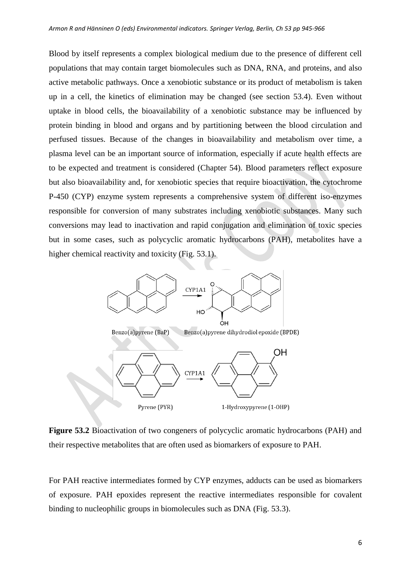Blood by itself represents a complex biological medium due to the presence of different cell populations that may contain target biomolecules such as DNA, RNA, and proteins, and also active metabolic pathways. Once a xenobiotic substance or its product of metabolism is taken up in a cell, the kinetics of elimination may be changed (see section 53.4). Even without uptake in blood cells, the bioavailability of a xenobiotic substance may be influenced by protein binding in blood and organs and by partitioning between the blood circulation and perfused tissues. Because of the changes in bioavailability and metabolism over time, a plasma level can be an important source of information, especially if acute health effects are to be expected and treatment is considered (Chapter 54). Blood parameters reflect exposure but also bioavailability and, for xenobiotic species that require bioactivation, the cytochrome P-450 (CYP) enzyme system represents a comprehensive system of different iso-enzymes responsible for conversion of many substrates including xenobiotic substances. Many such conversions may lead to inactivation and rapid conjugation and elimination of toxic species but in some cases, such as polycyclic aromatic hydrocarbons (PAH), metabolites have a higher chemical reactivity and toxicity (Fig. 53.1).



**Figure 53.2** Bioactivation of two congeners of polycyclic aromatic hydrocarbons (PAH) and their respective metabolites that are often used as biomarkers of exposure to PAH.

For PAH reactive intermediates formed by CYP enzymes, adducts can be used as biomarkers of exposure. PAH epoxides represent the reactive intermediates responsible for covalent binding to nucleophilic groups in biomolecules such as DNA (Fig. 53.3).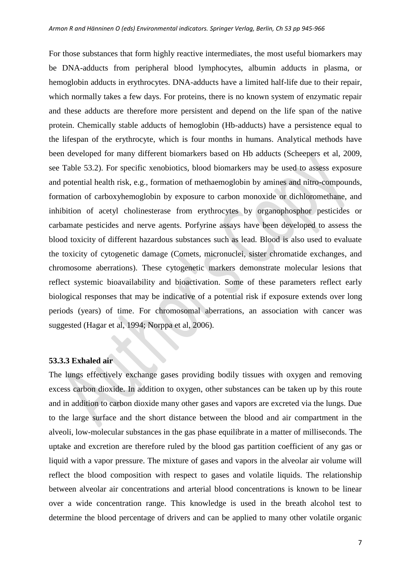For those substances that form highly reactive intermediates, the most useful biomarkers may be DNA-adducts from peripheral blood lymphocytes, albumin adducts in plasma, or hemoglobin adducts in erythrocytes. DNA-adducts have a limited half-life due to their repair, which normally takes a few days. For proteins, there is no known system of enzymatic repair and these adducts are therefore more persistent and depend on the life span of the native protein. Chemically stable adducts of hemoglobin (Hb-adducts) have a persistence equal to the lifespan of the erythrocyte, which is four months in humans. Analytical methods have been developed for many different biomarkers based on Hb adducts (Scheepers et al, 2009, see Table 53.2). For specific xenobiotics, blood biomarkers may be used to assess exposure and potential health risk, e.g., formation of methaemoglobin by amines and nitro-compounds, formation of carboxyhemoglobin by exposure to carbon monoxide or dichloromethane, and inhibition of acetyl cholinesterase from erythrocytes by organophosphor pesticides or carbamate pesticides and nerve agents. Porfyrine assays have been developed to assess the blood toxicity of different hazardous substances such as lead. Blood is also used to evaluate the toxicity of cytogenetic damage (Comets, micronuclei, sister chromatide exchanges, and chromosome aberrations). These cytogenetic markers demonstrate molecular lesions that reflect systemic bioavailability and bioactivation. Some of these parameters reflect early biological responses that may be indicative of a potential risk if exposure extends over long periods (years) of time. For chromosomal aberrations, an association with cancer was suggested (Hagar et al, 1994; Norppa et al, 2006).

# **53.3.3 Exhaled air**

The lungs effectively exchange gases providing bodily tissues with oxygen and removing excess carbon dioxide. In addition to oxygen, other substances can be taken up by this route and in addition to carbon dioxide many other gases and vapors are excreted via the lungs. Due to the large surface and the short distance between the blood and air compartment in the alveoli, low-molecular substances in the gas phase equilibrate in a matter of milliseconds. The uptake and excretion are therefore ruled by the blood gas partition coefficient of any gas or liquid with a vapor pressure. The mixture of gases and vapors in the alveolar air volume will reflect the blood composition with respect to gases and volatile liquids. The relationship between alveolar air concentrations and arterial blood concentrations is known to be linear over a wide concentration range. This knowledge is used in the breath alcohol test to determine the blood percentage of drivers and can be applied to many other volatile organic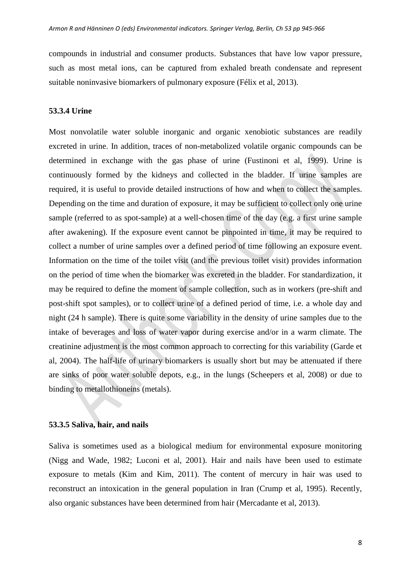compounds in industrial and consumer products. Substances that have low vapor pressure, such as most metal ions, can be captured from exhaled breath condensate and represent suitable noninvasive biomarkers of pulmonary exposure (Félix et al, 2013).

# **53.3.4 Urine**

Most nonvolatile water soluble inorganic and organic xenobiotic substances are readily excreted in urine. In addition, traces of non-metabolized volatile organic compounds can be determined in exchange with the gas phase of urine (Fustinoni et al, 1999). Urine is continuously formed by the kidneys and collected in the bladder. If urine samples are required, it is useful to provide detailed instructions of how and when to collect the samples. Depending on the time and duration of exposure, it may be sufficient to collect only one urine sample (referred to as spot-sample) at a well-chosen time of the day (e.g. a first urine sample after awakening). If the exposure event cannot be pinpointed in time, it may be required to collect a number of urine samples over a defined period of time following an exposure event. Information on the time of the toilet visit (and the previous toilet visit) provides information on the period of time when the biomarker was excreted in the bladder. For standardization, it may be required to define the moment of sample collection, such as in workers (pre-shift and post-shift spot samples), or to collect urine of a defined period of time, i.e. a whole day and night (24 h sample). There is quite some variability in the density of urine samples due to the intake of beverages and loss of water vapor during exercise and/or in a warm climate. The creatinine adjustment is the most common approach to correcting for this variability (Garde et al, 2004). The half-life of urinary biomarkers is usually short but may be attenuated if there are sinks of poor water soluble depots, e.g., in the lungs (Scheepers et al, 2008) or due to binding to metallothioneins (metals).

# **53.3.5 Saliva, hair, and nails**

Saliva is sometimes used as a biological medium for environmental exposure monitoring (Nigg and Wade, 1982; Luconi et al, 2001). Hair and nails have been used to estimate exposure to metals (Kim and Kim, 2011). The content of mercury in hair was used to reconstruct an intoxication in the general population in Iran (Crump et al, 1995). Recently, also organic substances have been determined from hair (Mercadante et al, 2013).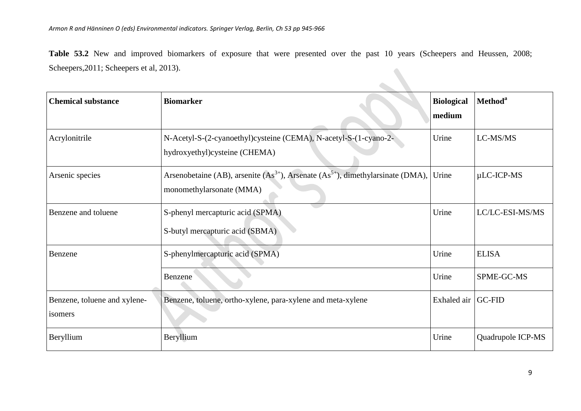Table 53.2 New and improved biomarkers of exposure that were presented over the past 10 years (Scheepers and Heussen, 2008; Scheepers,2011; Scheepers et al, 2013).

| <b>Chemical substance</b>               | <b>Biomarker</b>                                                                                                      | <b>Biological</b><br>medium | <b>Method</b> <sup>a</sup> |
|-----------------------------------------|-----------------------------------------------------------------------------------------------------------------------|-----------------------------|----------------------------|
| Acrylonitrile                           | N-Acetyl-S-(2-cyanoethyl)cysteine (CEMA), N-acetyl-S-(1-cyano-2-<br>hydroxyethyl)cysteine (CHEMA)                     | Urine                       | LC-MS/MS                   |
| Arsenic species                         | Arsenobetaine (AB), arsenite $(As^{3+})$ , Arsenate $(As^{5+})$ , dimethylarsinate (DMA),<br>monomethylarsonate (MMA) |                             | µLC-ICP-MS                 |
| Benzene and toluene                     | S-phenyl mercapturic acid (SPMA)<br>S-butyl mercapturic acid (SBMA)                                                   | Urine                       | LC/LC-ESI-MS/MS            |
| Benzene                                 | S-phenylmercapturic acid (SPMA)                                                                                       | Urine                       | <b>ELISA</b>               |
|                                         | Benzene                                                                                                               | Urine                       | SPME-GC-MS                 |
| Benzene, toluene and xylene-<br>isomers | Benzene, toluene, ortho-xylene, para-xylene and meta-xylene                                                           | Exhaled air GC-FID          |                            |
| Beryllium                               | Beryllium                                                                                                             | Urine                       | Quadrupole ICP-MS          |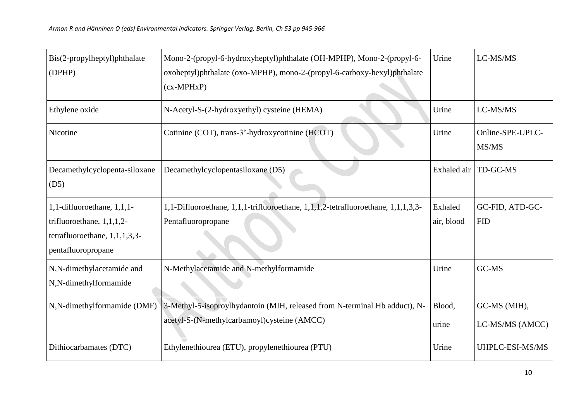| Bis(2-propylheptyl)phthalate<br>(DPHP)                                                                                  | Mono-2-(propyl-6-hydroxyheptyl)phthalate (OH-MPHP), Mono-2-(propyl-6-<br>oxoheptyl)phthalate (oxo-MPHP), mono-2-(propyl-6-carboxy-hexyl)phthalate<br>$(cx-MPHXP)$ |                       | LC-MS/MS                        |
|-------------------------------------------------------------------------------------------------------------------------|-------------------------------------------------------------------------------------------------------------------------------------------------------------------|-----------------------|---------------------------------|
| Ethylene oxide                                                                                                          | N-Acetyl-S-(2-hydroxyethyl) cysteine (HEMA)                                                                                                                       | Urine                 | LC-MS/MS                        |
| Nicotine                                                                                                                | Cotinine (COT), trans-3'-hydroxycotinine (HCOT)<br>Urine                                                                                                          |                       | Online-SPE-UPLC-<br>MS/MS       |
| Decamethylcyclopenta-siloxane<br>(D5)                                                                                   | Decamethylcyclopentasiloxane (D5)                                                                                                                                 | Exhaled air           | TD-GC-MS                        |
| 1,1-difluoroethane, $1,1,1$ -<br>trifluoroethane, $1,1,1,2$ -<br>tetrafluoroethane, $1,1,1,3,3$ -<br>pentafluoropropane | 1,1-Difluoroethane, 1,1,1-trifluoroethane, 1,1,1,2-tetrafluoroethane, 1,1,1,3,3-<br>Pentafluoropropane                                                            | Exhaled<br>air, blood | GC-FID, ATD-GC-<br><b>FID</b>   |
| N,N-dimethylacetamide and<br>N,N-dimethylformamide                                                                      | N-Methylacetamide and N-methylformamide                                                                                                                           | Urine                 | GC-MS                           |
| N,N-dimethylformamide (DMF)                                                                                             | 3-Methyl-5-isoproylhydantoin (MIH, released from N-terminal Hb adduct), N-<br>acetyl-S-(N-methylcarbamoyl)cysteine (AMCC)                                         |                       | GC-MS (MIH),<br>LC-MS/MS (AMCC) |
| Dithiocarbamates (DTC)                                                                                                  | Ethylenethiourea (ETU), propylenethiourea (PTU)                                                                                                                   |                       | UHPLC-ESI-MS/MS                 |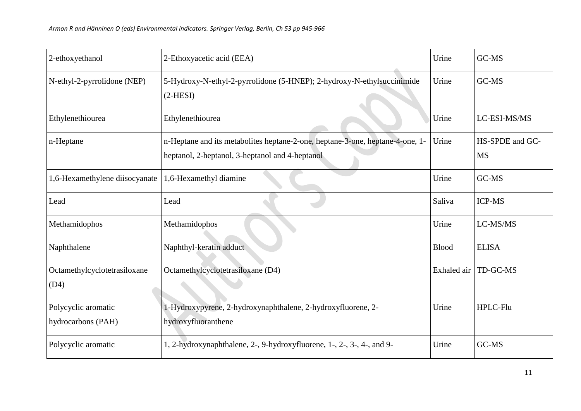| 2-ethoxyethanol                           | Urine<br>2-Ethoxyacetic acid (EEA)                                                                                               |              | GC-MS                        |
|-------------------------------------------|----------------------------------------------------------------------------------------------------------------------------------|--------------|------------------------------|
| N-ethyl-2-pyrrolidone (NEP)               | 5-Hydroxy-N-ethyl-2-pyrrolidone (5-HNEP); 2-hydroxy-N-ethylsuccinimide<br>Urine<br>$(2-HESI)$                                    |              | GC-MS                        |
| Ethylenethiourea                          | Ethylenethiourea                                                                                                                 | Urine        | LC-ESI-MS/MS                 |
| n-Heptane                                 | n-Heptane and its metabolites heptane-2-one, heptane-3-one, heptane-4-one, 1-<br>heptanol, 2-heptanol, 3-heptanol and 4-heptanol | Urine        | HS-SPDE and GC-<br><b>MS</b> |
| 1,6-Hexamethylene diisocyanate            | 1,6-Hexamethyl diamine                                                                                                           | Urine        | GC-MS                        |
| Lead                                      | Lead                                                                                                                             | Saliva       | <b>ICP-MS</b>                |
| Methamidophos                             | Methamidophos                                                                                                                    | Urine        | LC-MS/MS                     |
| Naphthalene                               | Naphthyl-keratin adduct                                                                                                          | <b>Blood</b> | <b>ELISA</b>                 |
| Octamethylcyclotetrasiloxane<br>(D4)      | Octamethylcyclotetrasiloxane (D4)                                                                                                | Exhaled air  | TD-GC-MS                     |
| Polycyclic aromatic<br>hydrocarbons (PAH) | 1-Hydroxypyrene, 2-hydroxynaphthalene, 2-hydroxyfluorene, 2-<br>hydroxyfluoranthene                                              | Urine        | HPLC-Flu                     |
| Polycyclic aromatic                       | 1, 2-hydroxynaphthalene, 2-, 9-hydroxyfluorene, 1-, 2-, 3-, 4-, and 9-                                                           | Urine        | GC-MS                        |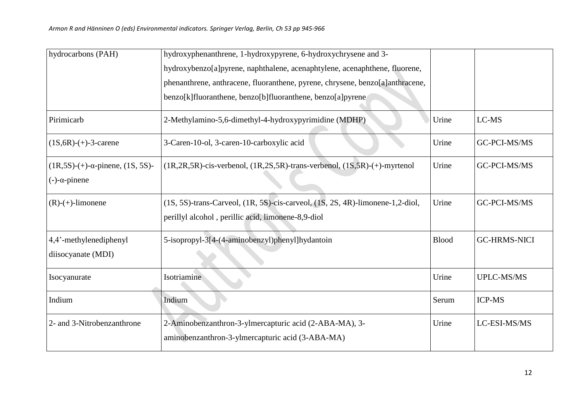| hydrocarbons (PAH)                                                                                                                         | hydroxyphenanthrene, 1-hydroxypyrene, 6-hydroxychrysene and 3-                |              |                     |
|--------------------------------------------------------------------------------------------------------------------------------------------|-------------------------------------------------------------------------------|--------------|---------------------|
|                                                                                                                                            | hydroxybenzo[a]pyrene, naphthalene, acenaphtylene, acenaphthene, fluorene,    |              |                     |
| phenanthrene, anthracene, fluoranthene, pyrene, chrysene, benzo[a]anthracene,                                                              |                                                                               |              |                     |
|                                                                                                                                            | benzo[k]fluoranthene, benzo[b]fluoranthene, benzo[a]pyrene                    |              |                     |
| Pirimicarb                                                                                                                                 | 2-Methylamino-5,6-dimethyl-4-hydroxypyrimidine (MDHP)<br>Urine                |              | LC-MS               |
| $(1S, 6R)$ -(+)-3-carene                                                                                                                   | 3-Caren-10-ol, 3-caren-10-carboxylic acid<br>Urine                            |              | GC-PCI-MS/MS        |
| $(1R, 2R, 5R)$ -cis-verbenol, $(1R, 2S, 5R)$ -trans-verbenol, $(1S, 5R)$ - $(+)$ -myrtenol<br>$(1R, 5S)$ -(+)- $\alpha$ -pinene, (1S, 5S)- |                                                                               | Urine        | GC-PCI-MS/MS        |
| $(-)-\alpha$ -pinene                                                                                                                       |                                                                               |              |                     |
| $(R)-(+)$ -limonene                                                                                                                        | (1S, 5S)-trans-Carveol, (1R, 5S)-cis-carveol, (1S, 2S, 4R)-limonene-1,2-diol, | Urine        | GC-PCI-MS/MS        |
|                                                                                                                                            | perillyl alcohol, perillic acid, limonene-8,9-diol                            |              |                     |
| 4,4'-methylenediphenyl                                                                                                                     | 5-isopropyl-3[4-(4-aminobenzyl)phenyl]hydantoin                               | <b>Blood</b> | <b>GC-HRMS-NICI</b> |
| diisocyanate (MDI)                                                                                                                         |                                                                               |              |                     |
| Isocyanurate                                                                                                                               | Isotriamine                                                                   | Urine        | <b>UPLC-MS/MS</b>   |
| Indium                                                                                                                                     | Indium                                                                        |              | <b>ICP-MS</b>       |
| 2- and 3-Nitrobenzanthrone                                                                                                                 | 2-Aminobenzanthron-3-ylmercapturic acid (2-ABA-MA), 3-                        | Urine        | LC-ESI-MS/MS        |
|                                                                                                                                            | aminobenzanthron-3-ylmercapturic acid (3-ABA-MA)                              |              |                     |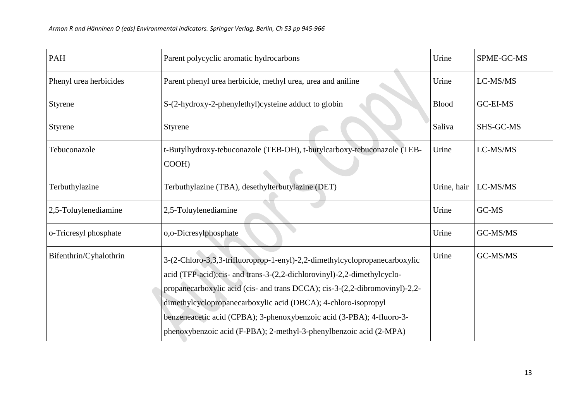| PAH                     | Parent polycyclic aromatic hydrocarbons                                                                                                                                                                                                                                                                                                                                                                                                                |       | SPME-GC-MS |
|-------------------------|--------------------------------------------------------------------------------------------------------------------------------------------------------------------------------------------------------------------------------------------------------------------------------------------------------------------------------------------------------------------------------------------------------------------------------------------------------|-------|------------|
| Phenyl urea herbicides  | Parent phenyl urea herbicide, methyl urea, urea and aniline                                                                                                                                                                                                                                                                                                                                                                                            |       | LC-MS/MS   |
| Styrene                 | S-(2-hydroxy-2-phenylethyl) cysteine adduct to globin<br><b>Blood</b>                                                                                                                                                                                                                                                                                                                                                                                  |       | GC-EI-MS   |
| Styrene                 | Saliva<br>Styrene                                                                                                                                                                                                                                                                                                                                                                                                                                      |       | SHS-GC-MS  |
| Tebuconazole            | t-Butylhydroxy-tebuconazole (TEB-OH), t-butylcarboxy-tebuconazole (TEB-<br>COOH)                                                                                                                                                                                                                                                                                                                                                                       |       | LC-MS/MS   |
| Terbuthylazine          | Terbuthylazine (TBA), desethylterbutylazine (DET)                                                                                                                                                                                                                                                                                                                                                                                                      |       | LC-MS/MS   |
| $2,5$ -Toluylenediamine | 2,5-Toluylenediamine                                                                                                                                                                                                                                                                                                                                                                                                                                   |       | GC-MS      |
| o-Tricresyl phosphate   | o,o-Dicresylphosphate                                                                                                                                                                                                                                                                                                                                                                                                                                  |       | GC-MS/MS   |
| Bifenthrin/Cyhalothrin  | 3-(2-Chloro-3,3,3-trifluoroprop-1-enyl)-2,2-dimethylcyclopropanecarboxylic<br>acid (TFP-acid); cis- and trans-3-(2,2-dichlorovinyl)-2,2-dimethylcyclo-<br>propanecarboxylic acid (cis- and trans DCCA); cis-3-(2,2-dibromovinyl)-2,2-<br>dimethylcyclopropanecarboxylic acid (DBCA); 4-chloro-isopropyl<br>benzeneacetic acid (CPBA); 3-phenoxybenzoic acid (3-PBA); 4-fluoro-3-<br>phenoxybenzoic acid (F-PBA); 2-methyl-3-phenylbenzoic acid (2-MPA) | Urine | GC-MS/MS   |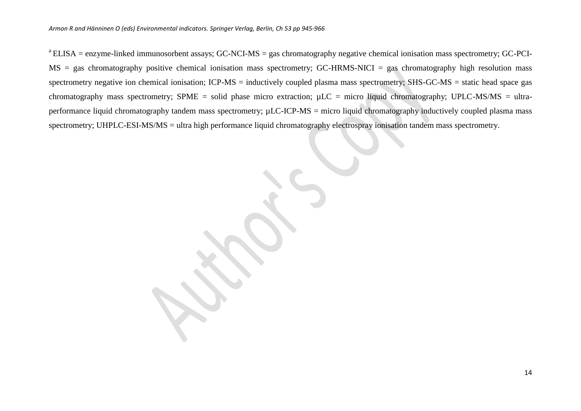$a<sup>a</sup> ELISA =$  enzyme-linked immunosorbent assays; GC-NCI-MS = gas chromatography negative chemical ionisation mass spectrometry; GC-PCI-MS = gas chromatography positive chemical ionisation mass spectrometry; GC-HRMS-NICI = gas chromatography high resolution mass spectrometry negative ion chemical ionisation; ICP-MS = inductively coupled plasma mass spectrometry; SHS-GC-MS = static head space gas chromatography mass spectrometry; SPME = solid phase micro extraction;  $\mu$ LC = micro liquid chromatography; UPLC-MS/MS = ultraperformance liquid chromatography tandem mass spectrometry;  $\mu$ LC-ICP-MS = micro liquid chromatography inductively coupled plasma mass spectrometry; UHPLC-ESI-MS/MS = ultra high performance liquid chromatography electrospray ionisation tandem mass spectrometry.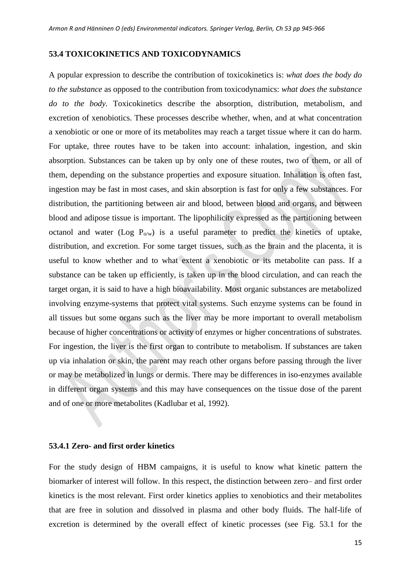# **53.4 TOXICOKINETICS AND TOXICODYNAMICS**

A popular expression to describe the contribution of toxicokinetics is: *what does the body do to the substance* as opposed to the contribution from toxicodynamics: *what does the substance do to the body.* Toxicokinetics describe the absorption, distribution, metabolism, and excretion of xenobiotics. These processes describe whether, when, and at what concentration a xenobiotic or one or more of its metabolites may reach a target tissue where it can do harm. For uptake, three routes have to be taken into account: inhalation, ingestion, and skin absorption. Substances can be taken up by only one of these routes, two of them, or all of them, depending on the substance properties and exposure situation. Inhalation is often fast, ingestion may be fast in most cases, and skin absorption is fast for only a few substances. For distribution, the partitioning between air and blood, between blood and organs, and between blood and adipose tissue is important. The lipophilicity expressed as the partitioning between octanol and water (Log  $P_{o/w}$ ) is a useful parameter to predict the kinetics of uptake, distribution, and excretion. For some target tissues, such as the brain and the placenta, it is useful to know whether and to what extent a xenobiotic or its metabolite can pass. If a substance can be taken up efficiently, is taken up in the blood circulation, and can reach the target organ, it is said to have a high bioavailability. Most organic substances are metabolized involving enzyme-systems that protect vital systems. Such enzyme systems can be found in all tissues but some organs such as the liver may be more important to overall metabolism because of higher concentrations or activity of enzymes or higher concentrations of substrates. For ingestion, the liver is the first organ to contribute to metabolism. If substances are taken up via inhalation or skin, the parent may reach other organs before passing through the liver or may be metabolized in lungs or dermis. There may be differences in iso-enzymes available in different organ systems and this may have consequences on the tissue dose of the parent and of one or more metabolites (Kadlubar et al, 1992).

# **53.4.1 Zero- and first order kinetics**

For the study design of HBM campaigns, it is useful to know what kinetic pattern the biomarker of interest will follow. In this respect, the distinction between zero– and first order kinetics is the most relevant. First order kinetics applies to xenobiotics and their metabolites that are free in solution and dissolved in plasma and other body fluids. The half-life of excretion is determined by the overall effect of kinetic processes (see Fig. 53.1 for the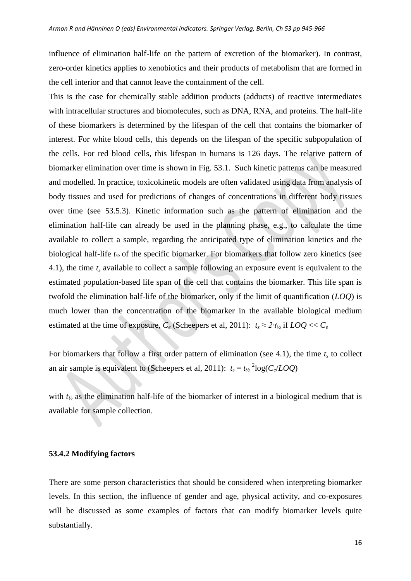influence of elimination half-life on the pattern of excretion of the biomarker). In contrast, zero-order kinetics applies to xenobiotics and their products of metabolism that are formed in the cell interior and that cannot leave the containment of the cell.

This is the case for chemically stable addition products (adducts) of reactive intermediates with intracellular structures and biomolecules, such as DNA, RNA, and proteins. The half-life of these biomarkers is determined by the lifespan of the cell that contains the biomarker of interest. For white blood cells, this depends on the lifespan of the specific subpopulation of the cells. For red blood cells, this lifespan in humans is 126 days. The relative pattern of biomarker elimination over time is shown in Fig. 53.1. Such kinetic patterns can be measured and modelled. In practice, toxicokinetic models are often validated using data from analysis of body tissues and used for predictions of changes of concentrations in different body tissues over time (see 53.5.3). Kinetic information such as the pattern of elimination and the elimination half-life can already be used in the planning phase, e.g., to calculate the time available to collect a sample, regarding the anticipated type of elimination kinetics and the biological half-life *t½* of the specific biomarker. For biomarkers that follow zero kinetics (see 4.1), the time *t<sup>s</sup>* available to collect a sample following an exposure event is equivalent to the estimated population-based life span of the cell that contains the biomarker. This life span is twofold the elimination half-life of the biomarker, only if the limit of quantification (*LOQ*) is much lower than the concentration of the biomarker in the available biological medium estimated at the time of exposure,  $C_e$  (Scheepers et al, 2011):  $t_s \approx 2 \cdot t_{\frac{1}{2}}$  if  $\text{LOQ} \ll C_e$ 

For biomarkers that follow a first order pattern of elimination (see 4.1), the time  $t<sub>s</sub>$  to collect an air sample is equivalent to (Scheepers et al, 2011):  $t_s = t_{\frac{1}{2}}^2 \log(C_e / L OQ)$ 

with  $t_{\frac{1}{2}}$  as the elimination half-life of the biomarker of interest in a biological medium that is available for sample collection.

# **53.4.2 Modifying factors**

There are some person characteristics that should be considered when interpreting biomarker levels. In this section, the influence of gender and age, physical activity, and co-exposures will be discussed as some examples of factors that can modify biomarker levels quite substantially.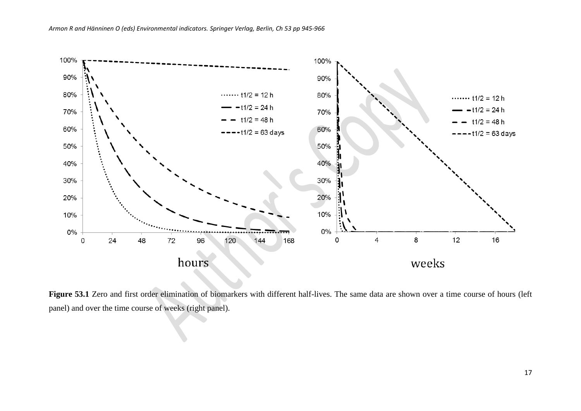

Figure 53.1 Zero and first order elimination of biomarkers with different half-lives. The same data are shown over a time course of hours (left panel) and over the time course of weeks (right panel).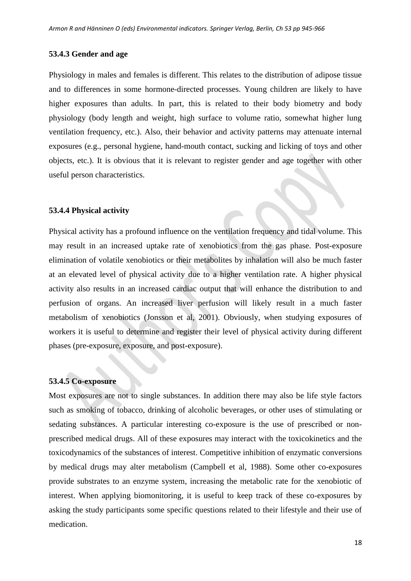# **53.4.3 Gender and age**

Physiology in males and females is different. This relates to the distribution of adipose tissue and to differences in some hormone-directed processes. Young children are likely to have higher exposures than adults. In part, this is related to their body biometry and body physiology (body length and weight, high surface to volume ratio, somewhat higher lung ventilation frequency, etc.). Also, their behavior and activity patterns may attenuate internal exposures (e.g., personal hygiene, hand-mouth contact, sucking and licking of toys and other objects, etc.). It is obvious that it is relevant to register gender and age together with other useful person characteristics.

# **53.4.4 Physical activity**

Physical activity has a profound influence on the ventilation frequency and tidal volume. This may result in an increased uptake rate of xenobiotics from the gas phase. Post-exposure elimination of volatile xenobiotics or their metabolites by inhalation will also be much faster at an elevated level of physical activity due to a higher ventilation rate. A higher physical activity also results in an increased cardiac output that will enhance the distribution to and perfusion of organs. An increased liver perfusion will likely result in a much faster metabolism of xenobiotics (Jonsson et al, 2001). Obviously, when studying exposures of workers it is useful to determine and register their level of physical activity during different phases (pre-exposure, exposure, and post-exposure).

## **53.4.5 Co-exposure**

Most exposures are not to single substances. In addition there may also be life style factors such as smoking of tobacco, drinking of alcoholic beverages, or other uses of stimulating or sedating substances. A particular interesting co-exposure is the use of prescribed or nonprescribed medical drugs. All of these exposures may interact with the toxicokinetics and the toxicodynamics of the substances of interest. Competitive inhibition of enzymatic conversions by medical drugs may alter metabolism (Campbell et al, 1988). Some other co-exposures provide substrates to an enzyme system, increasing the metabolic rate for the xenobiotic of interest. When applying biomonitoring, it is useful to keep track of these co-exposures by asking the study participants some specific questions related to their lifestyle and their use of medication.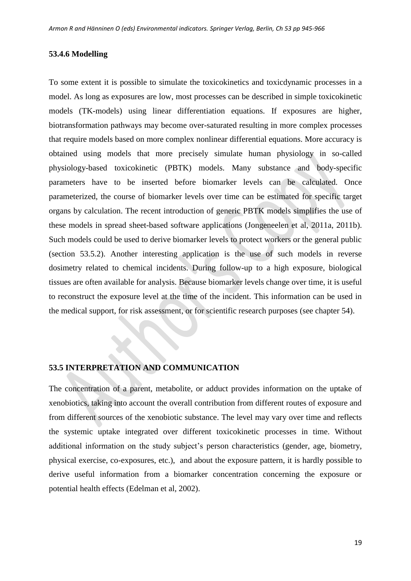## **53.4.6 Modelling**

To some extent it is possible to simulate the toxicokinetics and toxicdynamic processes in a model. As long as exposures are low, most processes can be described in simple toxicokinetic models (TK-models) using linear differentiation equations. If exposures are higher, biotransformation pathways may become over-saturated resulting in more complex processes that require models based on more complex nonlinear differential equations. More accuracy is obtained using models that more precisely simulate human physiology in so-called physiology-based toxicokinetic (PBTK) models. Many substance and body-specific parameters have to be inserted before biomarker levels can be calculated. Once parameterized, the course of biomarker levels over time can be estimated for specific target organs by calculation. The recent introduction of generic PBTK models simplifies the use of these models in spread sheet-based software applications (Jongeneelen et al, 2011a, 2011b). Such models could be used to derive biomarker levels to protect workers or the general public (section 53.5.2). Another interesting application is the use of such models in reverse dosimetry related to chemical incidents. During follow-up to a high exposure, biological tissues are often available for analysis. Because biomarker levels change over time, it is useful to reconstruct the exposure level at the time of the incident. This information can be used in the medical support, for risk assessment, or for scientific research purposes (see chapter 54).

# **53.5 INTERPRETATION AND COMMUNICATION**

The concentration of a parent, metabolite, or adduct provides information on the uptake of xenobiotics, taking into account the overall contribution from different routes of exposure and from different sources of the xenobiotic substance. The level may vary over time and reflects the systemic uptake integrated over different toxicokinetic processes in time. Without additional information on the study subject's person characteristics (gender, age, biometry, physical exercise, co-exposures, etc.), and about the exposure pattern, it is hardly possible to derive useful information from a biomarker concentration concerning the exposure or potential health effects (Edelman et al, 2002).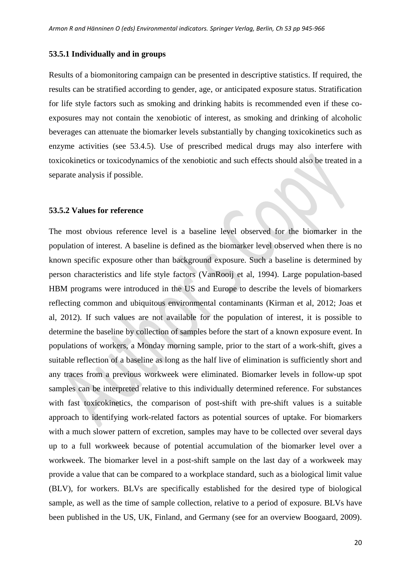#### **53.5.1 Individually and in groups**

Results of a biomonitoring campaign can be presented in descriptive statistics. If required, the results can be stratified according to gender, age, or anticipated exposure status. Stratification for life style factors such as smoking and drinking habits is recommended even if these coexposures may not contain the xenobiotic of interest, as smoking and drinking of alcoholic beverages can attenuate the biomarker levels substantially by changing toxicokinetics such as enzyme activities (see 53.4.5). Use of prescribed medical drugs may also interfere with toxicokinetics or toxicodynamics of the xenobiotic and such effects should also be treated in a separate analysis if possible.

#### **53.5.2 Values for reference**

The most obvious reference level is a baseline level observed for the biomarker in the population of interest. A baseline is defined as the biomarker level observed when there is no known specific exposure other than background exposure. Such a baseline is determined by person characteristics and life style factors (VanRooij et al, 1994). Large population-based HBM programs were introduced in the US and Europe to describe the levels of biomarkers reflecting common and ubiquitous environmental contaminants (Kirman et al, 2012; Joas et al, 2012). If such values are not available for the population of interest, it is possible to determine the baseline by collection of samples before the start of a known exposure event. In populations of workers, a Monday morning sample, prior to the start of a work-shift, gives a suitable reflection of a baseline as long as the half live of elimination is sufficiently short and any traces from a previous workweek were eliminated. Biomarker levels in follow-up spot samples can be interpreted relative to this individually determined reference. For substances with fast toxicokinetics, the comparison of post-shift with pre-shift values is a suitable approach to identifying work-related factors as potential sources of uptake. For biomarkers with a much slower pattern of excretion, samples may have to be collected over several days up to a full workweek because of potential accumulation of the biomarker level over a workweek. The biomarker level in a post-shift sample on the last day of a workweek may provide a value that can be compared to a workplace standard, such as a biological limit value (BLV), for workers. BLVs are specifically established for the desired type of biological sample, as well as the time of sample collection, relative to a period of exposure. BLVs have been published in the US, UK, Finland, and Germany (see for an overview Boogaard, 2009).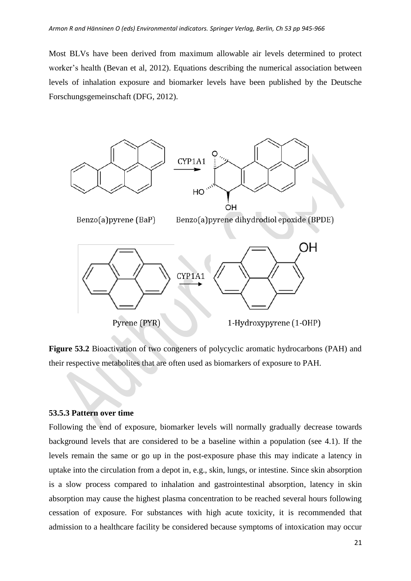Most BLVs have been derived from maximum allowable air levels determined to protect worker's health (Bevan et al, 2012). Equations describing the numerical association between levels of inhalation exposure and biomarker levels have been published by the Deutsche Forschungsgemeinschaft (DFG, 2012).



**Figure 53.2** Bioactivation of two congeners of polycyclic aromatic hydrocarbons (PAH) and their respective metabolites that are often used as biomarkers of exposure to PAH.

#### **53.5.3 Pattern over time**

Following the end of exposure, biomarker levels will normally gradually decrease towards background levels that are considered to be a baseline within a population (see 4.1). If the levels remain the same or go up in the post-exposure phase this may indicate a latency in uptake into the circulation from a depot in, e.g., skin, lungs, or intestine. Since skin absorption is a slow process compared to inhalation and gastrointestinal absorption, latency in skin absorption may cause the highest plasma concentration to be reached several hours following cessation of exposure. For substances with high acute toxicity, it is recommended that admission to a healthcare facility be considered because symptoms of intoxication may occur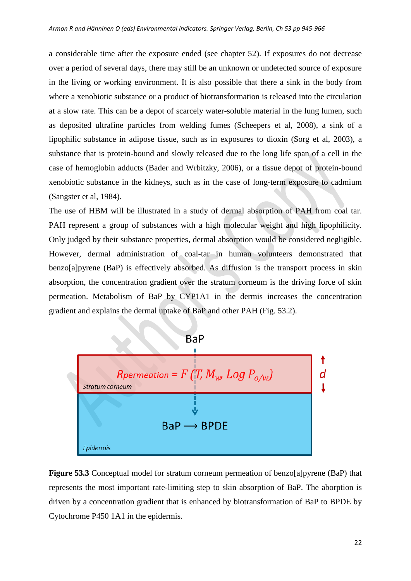a considerable time after the exposure ended (see chapter 52). If exposures do not decrease over a period of several days, there may still be an unknown or undetected source of exposure in the living or working environment. It is also possible that there a sink in the body from where a xenobiotic substance or a product of biotransformation is released into the circulation at a slow rate. This can be a depot of scarcely water-soluble material in the lung lumen, such as deposited ultrafine particles from welding fumes (Scheepers et al, 2008), a sink of a lipophilic substance in adipose tissue, such as in exposures to dioxin (Sorg et al, 2003), a substance that is protein-bound and slowly released due to the long life span of a cell in the case of hemoglobin adducts (Bader and Wrbitzky, 2006), or a tissue depot of protein-bound xenobiotic substance in the kidneys, such as in the case of long-term exposure to cadmium (Sangster et al, 1984).

The use of HBM will be illustrated in a study of dermal absorption of PAH from coal tar. PAH represent a group of substances with a high molecular weight and high lipophilicity. Only judged by their substance properties, dermal absorption would be considered negligible. However, dermal administration of coal-tar in human volunteers demonstrated that benzo[a]pyrene (BaP) is effectively absorbed. As diffusion is the transport process in skin absorption, the concentration gradient over the stratum corneum is the driving force of skin permeation. Metabolism of BaP by CYP1A1 in the dermis increases the concentration gradient and explains the dermal uptake of BaP and other PAH (Fig. 53.2).



**Figure 53.3** Conceptual model for stratum corneum permeation of benzo[a]pyrene (BaP) that represents the most important rate-limiting step to skin absorption of BaP. The aborption is driven by a concentration gradient that is enhanced by biotransformation of BaP to BPDE by Cytochrome P450 1A1 in the epidermis.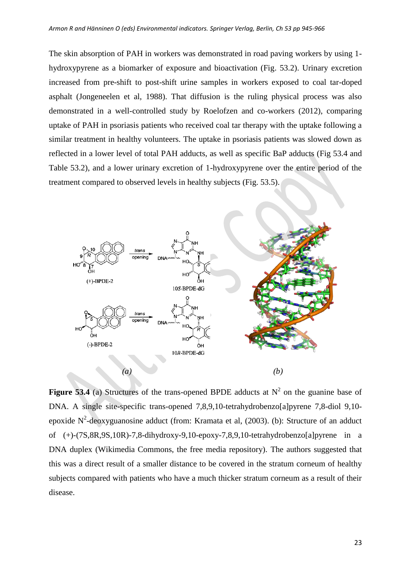The skin absorption of PAH in workers was demonstrated in road paving workers by using 1 hydroxypyrene as a biomarker of exposure and bioactivation (Fig. 53.2). Urinary excretion increased from pre-shift to post-shift urine samples in workers exposed to coal tar-doped asphalt (Jongeneelen et al, 1988). That diffusion is the ruling physical process was also demonstrated in a well-controlled study by Roelofzen and co-workers (2012), comparing uptake of PAH in psoriasis patients who received coal tar therapy with the uptake following a similar treatment in healthy volunteers. The uptake in psoriasis patients was slowed down as reflected in a lower level of total PAH adducts, as well as specific BaP adducts (Fig 53.4 and Table 53.2), and a lower urinary excretion of 1-hydroxypyrene over the entire period of the treatment compared to observed levels in healthy subjects (Fig. 53.5).



**Figure 53.4** (a) Structures of the trans-opened BPDE adducts at  $N^2$  on the guanine base of DNA. A single site-specific trans-opened 7,8,9,10-tetrahydrobenzo[a]pyrene 7,8-diol 9,10 epoxide N<sup>2</sup>-deoxyguanosine adduct (from: Kramata et al,  $(2003)$ . (b): Structure of an adduct of (+)-(7S,8R,9S,10R)-7,8-dihydroxy-9,10-epoxy-7,8,9,10-tetrahydrobenzo[a]pyrene in a DNA duplex (Wikimedia Commons, the free media repository). The authors suggested that this was a direct result of a smaller distance to be covered in the stratum corneum of healthy subjects compared with patients who have a much thicker stratum corneum as a result of their disease.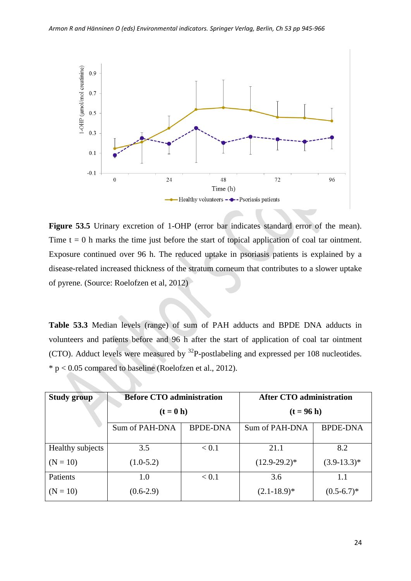

Figure 53.5 Urinary excretion of 1-OHP (error bar indicates standard error of the mean). Time  $t = 0$  h marks the time just before the start of topical application of coal tar ointment. Exposure continued over 96 h. The reduced uptake in psoriasis patients is explained by a disease-related increased thickness of the stratum corneum that contributes to a slower uptake of pyrene. (Source: Roelofzen et al, 2012)

**Table 53.3** Median levels (range) of sum of PAH adducts and BPDE DNA adducts in volunteers and patients before and 96 h after the start of application of coal tar ointment (CTO). Adduct levels were measured by  $^{32}P$ -postlabeling and expressed per 108 nucleotides.  $* p < 0.05$  compared to baseline (Roelofzen et al., 2012).

| <b>Study group</b> | <b>Before CTO administration</b><br>$(t = 0 h)$ |                 | <b>After CTO administration</b><br>$(t = 96 h)$ |                 |
|--------------------|-------------------------------------------------|-----------------|-------------------------------------------------|-----------------|
|                    | Sum of PAH-DNA                                  | <b>BPDE-DNA</b> | Sum of PAH-DNA                                  | <b>BPDE-DNA</b> |
| Healthy subjects   | 3.5                                             | < 0.1           | 21.1                                            | 8.2             |
| $(N = 10)$         | $(1.0-5.2)$                                     |                 | $(12.9-29.2)^*$                                 | $(3.9-13.3)^*$  |
| Patients           | 1.0                                             | < 0.1           | 3.6                                             | 1.1             |
| $(N = 10)$         | $(0.6-2.9)$                                     |                 | $(2.1 - 18.9)^*$                                | $(0.5-6.7)$ *   |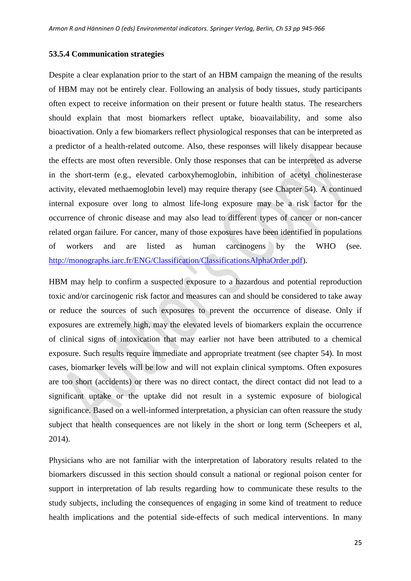# **53.5.4 Communication strategies**

Despite a clear explanation prior to the start of an HBM campaign the meaning of the results of HBM may not be entirely clear. Following an analysis of body tissues, study participants often expect to receive information on their present or future health status. The researchers should explain that most biomarkers reflect uptake, bioavailability, and some also bioactivation. Only a few biomarkers reflect physiological responses that can be interpreted as a predictor of a health-related outcome. Also, these responses will likely disappear because the effects are most often reversible. Only those responses that can be interpreted as adverse in the short-term (e.g., elevated carboxyhemoglobin, inhibition of acetyl cholinesterase activity, elevated methaemoglobin level) may require therapy (see Chapter 54). A continued internal exposure over long to almost life-long exposure may be a risk factor for the occurrence of chronic disease and may also lead to different types of cancer or non-cancer related organ failure. For cancer, many of those exposures have been identified in populations of workers and are listed as human carcinogens by the WHO (see. [http://monographs.iarc.fr/ENG/Classification/ClassificationsAlphaOrder.pdf\)](http://monographs.iarc.fr/ENG/Classification/ClassificationsAlphaOrder.pdf).

HBM may help to confirm a suspected exposure to a hazardous and potential reproduction toxic and/or carcinogenic risk factor and measures can and should be considered to take away or reduce the sources of such exposures to prevent the occurrence of disease. Only if exposures are extremely high, may the elevated levels of biomarkers explain the occurrence of clinical signs of intoxication that may earlier not have been attributed to a chemical exposure. Such results require immediate and appropriate treatment (see chapter 54). In most cases, biomarker levels will be low and will not explain clinical symptoms. Often exposures are too short (accidents) or there was no direct contact, the direct contact did not lead to a significant uptake or the uptake did not result in a systemic exposure of biological significance. Based on a well-informed interpretation, a physician can often reassure the study subject that health consequences are not likely in the short or long term (Scheepers et al, 2014).

Physicians who are not familiar with the interpretation of laboratory results related to the biomarkers discussed in this section should consult a national or regional poison center for support in interpretation of lab results regarding how to communicate these results to the study subjects, including the consequences of engaging in some kind of treatment to reduce health implications and the potential side-effects of such medical interventions. In many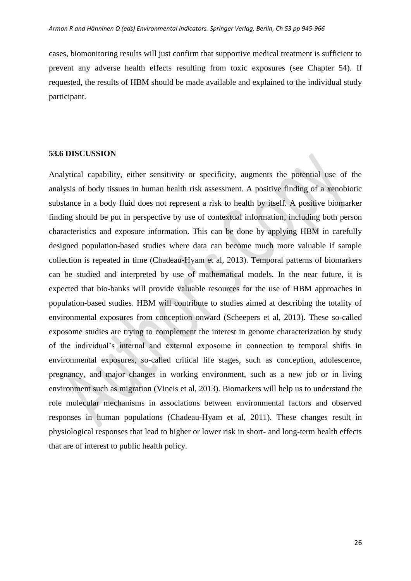cases, biomonitoring results will just confirm that supportive medical treatment is sufficient to prevent any adverse health effects resulting from toxic exposures (see Chapter 54). If requested, the results of HBM should be made available and explained to the individual study participant.

#### **53.6 DISCUSSION**

Analytical capability, either sensitivity or specificity, augments the potential use of the analysis of body tissues in human health risk assessment. A positive finding of a xenobiotic substance in a body fluid does not represent a risk to health by itself. A positive biomarker finding should be put in perspective by use of contextual information, including both person characteristics and exposure information. This can be done by applying HBM in carefully designed population-based studies where data can become much more valuable if sample collection is repeated in time (Chadeau-Hyam et al, 2013). Temporal patterns of biomarkers can be studied and interpreted by use of mathematical models. In the near future, it is expected that bio-banks will provide valuable resources for the use of HBM approaches in population-based studies. HBM will contribute to studies aimed at describing the totality of environmental exposures from conception onward (Scheepers et al, 2013). These so-called exposome studies are trying to complement the interest in genome characterization by study of the individual's internal and external exposome in connection to temporal shifts in environmental exposures, so-called critical life stages, such as conception, adolescence, pregnancy, and major changes in working environment, such as a new job or in living environment such as migration (Vineis et al, 2013). Biomarkers will help us to understand the role molecular mechanisms in associations between environmental factors and observed responses in human populations (Chadeau-Hyam et al, 2011). These changes result in physiological responses that lead to higher or lower risk in short- and long-term health effects that are of interest to public health policy.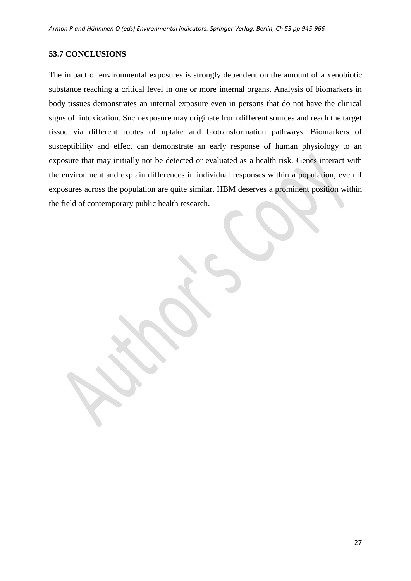# **53.7 CONCLUSIONS**

The impact of environmental exposures is strongly dependent on the amount of a xenobiotic substance reaching a critical level in one or more internal organs. Analysis of biomarkers in body tissues demonstrates an internal exposure even in persons that do not have the clinical signs of intoxication. Such exposure may originate from different sources and reach the target tissue via different routes of uptake and biotransformation pathways. Biomarkers of susceptibility and effect can demonstrate an early response of human physiology to an exposure that may initially not be detected or evaluated as a health risk. Genes interact with the environment and explain differences in individual responses within a population, even if exposures across the population are quite similar. HBM deserves a prominent position within the field of contemporary public health research.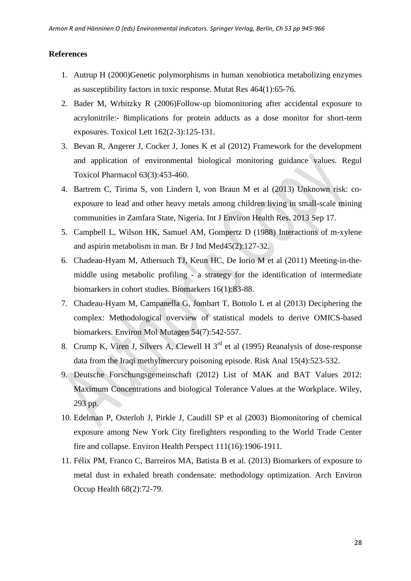# **References**

- 1. Autrup H (2000)Genetic polymorphisms in human xenobiotica metabolizing enzymes as susceptibility factors in toxic response. Mutat Res 464(1):65-76.
- 2. Bader M, Wrbitzky R (2006)Follow-up biomonitoring after accidental exposure to acrylonitrile:- 8implications for protein adducts as a dose monitor for short-term exposures. Toxicol Lett 162(2-3):125-131.
- 3. Bevan R, Angerer J, Cocker J, Jones K et al (2012) Framework for the development and application of environmental biological monitoring guidance values. Regul Toxicol Pharmacol 63(3):453-460.
- 4. Bartrem C, Tirima S, von Lindern I, von Braun M et al (2013) Unknown risk: coexposure to lead and other heavy metals among children living in small-scale mining communities in Zamfara State, Nigeria. Int J Environ Health Res. 2013 Sep 17.
- 5. Campbell L, Wilson HK, Samuel AM, Gompertz D (1988) Interactions of m-xylene and aspirin metabolism in man. Br J Ind Med45(2):127-32.
- 6. Chadeau-Hyam M, Athersuch TJ, Keun HC, De Iorio M et al (2011) Meeting-in-themiddle using metabolic profiling - a strategy for the identification of intermediate biomarkers in cohort studies. Biomarkers 16(1):83-88.
- 7. Chadeau-Hyam M, [Campanella G,](http://www.ncbi.nlm.nih.gov/pubmed?term=Campanella%20G%5BAuthor%5D&cauthor=true&cauthor_uid=23918146) [Jombart T,](http://www.ncbi.nlm.nih.gov/pubmed?term=Jombart%20T%5BAuthor%5D&cauthor=true&cauthor_uid=23918146) [Bottolo L](http://www.ncbi.nlm.nih.gov/pubmed?term=Bottolo%20L%5BAuthor%5D&cauthor=true&cauthor_uid=23918146) et al (2013) Deciphering the complex: Methodological overview of statistical models to derive OMICS-based biomarkers. Environ Mol Mutagen 54(7):542-557.
- 8. Crump K, Viren J, Silvers A, Clewell H  $3<sup>rd</sup>$  et al (1995) Reanalysis of dose-response data from the Iraqi methylmercury poisoning episode. Risk Anal 15(4):523-532.
- 9. Deutsche Forschungsgemeinschaft (2012) List of MAK and BAT Values 2012: Maximum Concentrations and biological Tolerance Values at the Workplace. Wiley, 293 pp.
- 10. Edelman P, Osterloh J, Pirkle J, Caudill SP et al (2003) Biomonitoring of chemical exposure among New York City firefighters responding to the World Trade Center fire and collapse. Environ Health Perspect 111(16):1906-1911.
- 11. Félix PM, Franco C, Barreiros MA, Batista B et al. (2013) Biomarkers of exposure to metal dust in exhaled breath condensate: methodology optimization. Arch Environ Occup Health 68(2):72-79.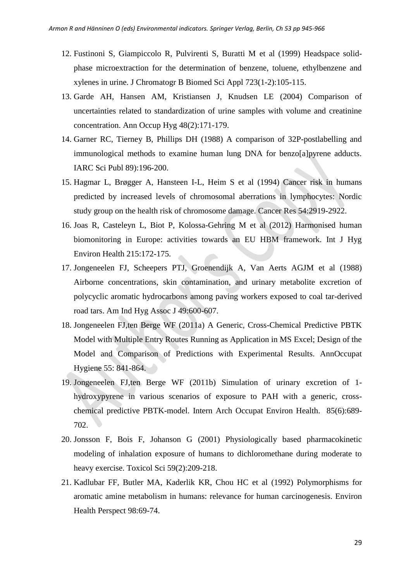- 12. Fustinoni S, Giampiccolo R, Pulvirenti S, Buratti M et al (1999) Headspace solidphase microextraction for the determination of benzene, toluene, ethylbenzene and xylenes in urine. J Chromatogr B Biomed Sci Appl 723(1-2):105-115.
- 13. Garde AH, Hansen AM, Kristiansen J, Knudsen LE (2004) Comparison of uncertainties related to standardization of urine samples with volume and creatinine concentration. Ann Occup Hyg 48(2):171-179.
- 14. Garner RC, Tierney B, Phillips DH (1988) A comparison of 32P-postlabelling and immunological methods to examine human lung DNA for benzo[a]pyrene adducts. IARC Sci Publ 89):196-200.
- 15. Hagmar L, Brøgger A, Hansteen I-L, Heim S et al (1994) Cancer risk in humans predicted by increased levels of chromosomal aberrations in lymphocytes: Nordic study group on the health risk of chromosome damage. Cancer Res 54:2919-2922.
- 16. Joas R, Casteleyn L, Biot P, Kolossa-Gehring M et al (2012) Harmonised human biomonitoring in Europe: activities towards an EU HBM framework. Int J Hyg Environ Health 215:172-175.
- 17. Jongeneelen FJ, Scheepers PTJ, Groenendijk A, Van Aerts AGJM et al (1988) Airborne concentrations, skin contamination, and urinary metabolite excretion of polycyclic aromatic hydrocarbons among paving workers exposed to coal tar-derived road tars. Am Ind Hyg Assoc J 49:600-607.
- 18. Jongeneelen FJ,ten Berge WF (2011a) A Generic, Cross-Chemical Predictive PBTK Model with Multiple Entry Routes Running as Application in MS Excel; Design of the Model and Comparison of Predictions with Experimental Results. AnnOccupat Hygiene 55: 841-864.
- 19. Jongeneelen FJ,ten Berge WF (2011b) Simulation of urinary excretion of 1 hydroxypyrene in various scenarios of exposure to PAH with a generic, crosschemical predictive PBTK-model. Intern Arch Occupat Environ Health. 85(6):689- 702.
- 20. Jonsson F, Bois F, Johanson G (2001) Physiologically based pharmacokinetic modeling of inhalation exposure of humans to dichloromethane during moderate to heavy exercise. Toxicol Sci 59(2):209-218.
- 21. Kadlubar FF, Butler MA, Kaderlik KR, Chou HC et al (1992) Polymorphisms for aromatic amine metabolism in humans: relevance for human carcinogenesis. Environ Health Perspect 98:69-74.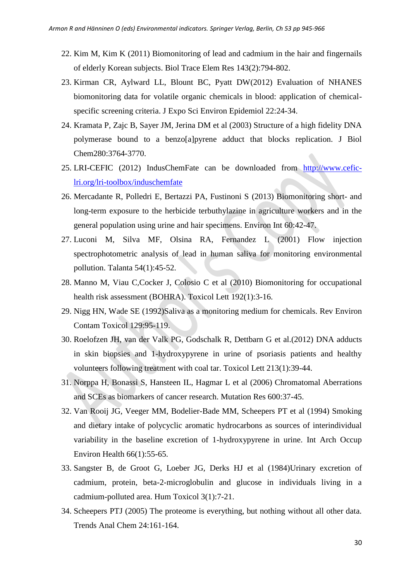- 22. Kim M, Kim K (2011) Biomonitoring of lead and cadmium in the hair and fingernails of elderly Korean subjects. Biol Trace Elem Res 143(2):794-802.
- 23. Kirman CR, Aylward LL, Blount BC, Pyatt DW(2012) Evaluation of NHANES biomonitoring data for volatile organic chemicals in blood: application of chemicalspecific screening criteria. J Expo Sci Environ Epidemiol 22:24-34.
- 24. Kramata P, Zajc B, Sayer JM, Jerina DM et al (2003) Structure of a high fidelity DNA polymerase bound to a benzo[a]pyrene adduct that blocks replication. J Biol Chem280:3764-3770.
- 25. LRI-CEFIC (2012) IndusChemFate can be downloaded from [http://www.cefic](http://www.cefic-lri.org/lri-toolbox/induschemfate)[lri.org/lri-toolbox/induschemfate](http://www.cefic-lri.org/lri-toolbox/induschemfate)
- 26. Mercadante R, Polledri E, Bertazzi PA, Fustinoni S (2013) Biomonitoring short- and long-term exposure to the herbicide terbuthylazine in agriculture workers and in the general population using urine and hair specimens. Environ Int 60:42-47.
- 27. Luconi M, Silva MF, Olsina RA, Fernandez L (2001) Flow injection spectrophotometric analysis of lead in human saliva for monitoring environmental pollution. Talanta 54(1):45-52.
- 28. Manno M, Viau C,Cocker J, Colosio C et al (2010) Biomonitoring for occupational health risk assessment (BOHRA). Toxicol Lett 192(1):3-16.
- 29. Nigg HN, Wade SE (1992)Saliva as a monitoring medium for chemicals. Rev Environ Contam Toxicol 129:95-119.
- 30. Roelofzen JH, van der Valk PG, Godschalk R, Dettbarn G et al.(2012) DNA adducts in skin biopsies and 1-hydroxypyrene in urine of psoriasis patients and healthy volunteers following treatment with coal tar. Toxicol Lett 213(1):39-44.
- 31. Norppa H, Bonassi S, Hansteen IL, Hagmar L et al (2006) Chromatomal Aberrations and SCEs as biomarkers of cancer research. Mutation Res 600:37-45.
- 32. Van Rooij JG, Veeger MM, Bodelier-Bade MM, Scheepers PT et al (1994) Smoking and dietary intake of polycyclic aromatic hydrocarbons as sources of interindividual variability in the baseline excretion of 1-hydroxypyrene in urine. Int Arch Occup Environ Health 66(1):55-65.
- 33. Sangster B, de Groot G, Loeber JG, Derks HJ et al (1984)Urinary excretion of cadmium, protein, beta-2-microglobulin and glucose in individuals living in a cadmium-polluted area. Hum Toxicol 3(1):7-21.
- 34. Scheepers PTJ (2005) The proteome is everything, but nothing without all other data. Trends Anal Chem 24:161-164.